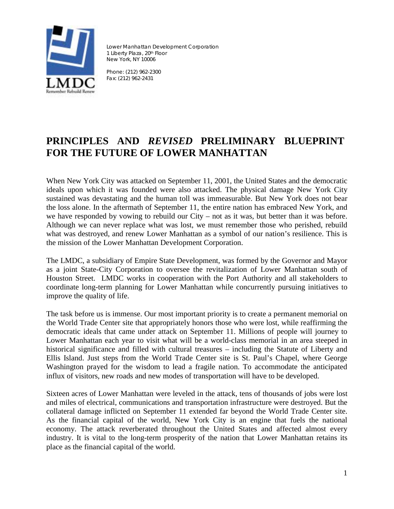

Lower Manhattan Development Corporation 1 Liberty Plaza, 20th Floor New York, NY 10006

Phone: (212) 962-2300 Fax: (212) 962-2431

# **PRINCIPLES AND** *REVISED* **PRELIMINARY BLUEPRINT FOR THE FUTURE OF LOWER MANHATTAN**

When New York City was attacked on September 11, 2001, the United States and the democratic ideals upon which it was founded were also attacked. The physical damage New York City sustained was devastating and the human toll was immeasurable. But New York does not bear the loss alone. In the aftermath of September 11, the entire nation has embraced New York, and we have responded by vowing to rebuild our City – not as it was, but better than it was before. Although we can never replace what was lost, we must remember those who perished, rebuild what was destroyed, and renew Lower Manhattan as a symbol of our nation's resilience. This is the mission of the Lower Manhattan Development Corporation.

The LMDC, a subsidiary of Empire State Development, was formed by the Governor and Mayor as a joint State-City Corporation to oversee the revitalization of Lower Manhattan south of Houston Street. LMDC works in cooperation with the Port Authority and all stakeholders to coordinate long-term planning for Lower Manhattan while concurrently pursuing initiatives to improve the quality of life.

The task before us is immense. Our most important priority is to create a permanent memorial on the World Trade Center site that appropriately honors those who were lost, while reaffirming the democratic ideals that came under attack on September 11. Millions of people will journey to Lower Manhattan each year to visit what will be a world-class memorial in an area steeped in historical significance and filled with cultural treasures – including the Statute of Liberty and Ellis Island. Just steps from the World Trade Center site is St. Paul's Chapel, where George Washington prayed for the wisdom to lead a fragile nation. To accommodate the anticipated influx of visitors, new roads and new modes of transportation will have to be developed.

Sixteen acres of Lower Manhattan were leveled in the attack, tens of thousands of jobs were lost and miles of electrical, communications and transportation infrastructure were destroyed. But the collateral damage inflicted on September 11 extended far beyond the World Trade Center site. As the financial capital of the world, New York City is an engine that fuels the national economy. The attack reverberated throughout the United States and affected almost every industry. It is vital to the long-term prosperity of the nation that Lower Manhattan retains its place as the financial capital of the world.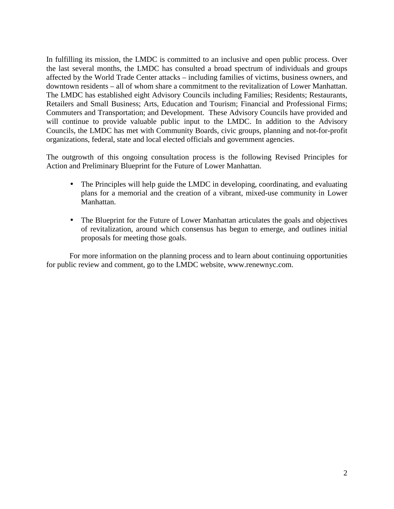In fulfilling its mission, the LMDC is committed to an inclusive and open public process. Over the last several months, the LMDC has consulted a broad spectrum of individuals and groups affected by the World Trade Center attacks – including families of victims, business owners, and downtown residents – all of whom share a commitment to the revitalization of Lower Manhattan. The LMDC has established eight Advisory Councils including Families; Residents; Restaurants, Retailers and Small Business; Arts, Education and Tourism; Financial and Professional Firms; Commuters and Transportation; and Development. These Advisory Councils have provided and will continue to provide valuable public input to the LMDC. In addition to the Advisory Councils, the LMDC has met with Community Boards, civic groups, planning and not-for-profit organizations, federal, state and local elected officials and government agencies.

The outgrowth of this ongoing consultation process is the following Revised Principles for Action and Preliminary Blueprint for the Future of Lower Manhattan.

- The Principles will help guide the LMDC in developing, coordinating, and evaluating plans for a memorial and the creation of a vibrant, mixed-use community in Lower Manhattan.
- The Blueprint for the Future of Lower Manhattan articulates the goals and objectives of revitalization, around which consensus has begun to emerge, and outlines initial proposals for meeting those goals.

For more information on the planning process and to learn about continuing opportunities for public review and comment, go to the LMDC website, www.renewnyc.com.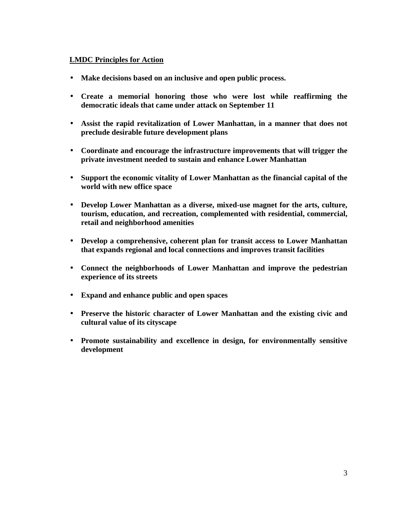#### **LMDC Principles for Action**

- **Make decisions based on an inclusive and open public process.**
- **Create a memorial honoring those who were lost while reaffirming the democratic ideals that came under attack on September 11**
- **Assist the rapid revitalization of Lower Manhattan, in a manner that does not preclude desirable future development plans**
- **Coordinate and encourage the infrastructure improvements that will trigger the private investment needed to sustain and enhance Lower Manhattan**
- **Support the economic vitality of Lower Manhattan as the financial capital of the world with new office space**
- **Develop Lower Manhattan as a diverse, mixed-use magnet for the arts, culture, tourism, education, and recreation, complemented with residential, commercial, retail and neighborhood amenities**
- **Develop a comprehensive, coherent plan for transit access to Lower Manhattan that expands regional and local connections and improves transit facilities**
- **Connect the neighborhoods of Lower Manhattan and improve the pedestrian experience of its streets**
- **Expand and enhance public and open spaces**
- **Preserve the historic character of Lower Manhattan and the existing civic and cultural value of its cityscape**
- **Promote sustainability and excellence in design, for environmentally sensitive development**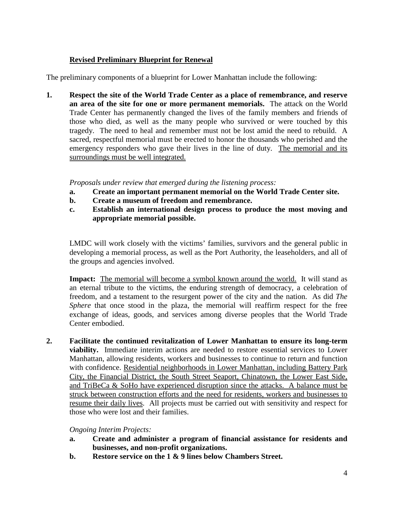## **Revised Preliminary Blueprint for Renewal**

The preliminary components of a blueprint for Lower Manhattan include the following:

**1. Respect the site of the World Trade Center as a place of remembrance, and reserve an area of the site for one or more permanent memorials.** The attack on the World Trade Center has permanently changed the lives of the family members and friends of those who died, as well as the many people who survived or were touched by this tragedy. The need to heal and remember must not be lost amid the need to rebuild. A sacred, respectful memorial must be erected to honor the thousands who perished and the emergency responders who gave their lives in the line of duty. The memorial and its surroundings must be well integrated.

*Proposals under review that emerged during the listening process:* 

- **a. Create an important permanent memorial on the World Trade Center site.**
- **b. Create a museum of freedom and remembrance.**
- **c. Establish an international design process to produce the most moving and appropriate memorial possible.**

LMDC will work closely with the victims' families, survivors and the general public in developing a memorial process, as well as the Port Authority, the leaseholders, and all of the groups and agencies involved.

**Impact:** The memorial will become a symbol known around the world. It will stand as an eternal tribute to the victims, the enduring strength of democracy, a celebration of freedom, and a testament to the resurgent power of the city and the nation. As did *The Sphere* that once stood in the plaza, the memorial will reaffirm respect for the free exchange of ideas, goods, and services among diverse peoples that the World Trade Center embodied.

**2. Facilitate the continued revitalization of Lower Manhattan to ensure its long-term viability.** Immediate interim actions are needed to restore essential services to Lower Manhattan, allowing residents, workers and businesses to continue to return and function with confidence. Residential neighborhoods in Lower Manhattan, including Battery Park City, the Financial District, the South Street Seaport, Chinatown, the Lower East Side, and TriBeCa & SoHo have experienced disruption since the attacks. A balance must be struck between construction efforts and the need for residents, workers and businesses to resume their daily lives. All projects must be carried out with sensitivity and respect for those who were lost and their families.

## *Ongoing Interim Projects:*

- **a. Create and administer a program of financial assistance for residents and businesses, and non-profit organizations.**
- **b. Restore service on the 1 & 9 lines below Chambers Street.**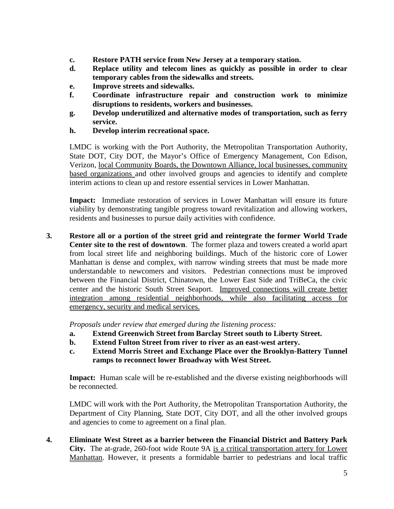- **c. Restore PATH service from New Jersey at a temporary station.**
- **d. Replace utility and telecom lines as quickly as possible in order to clear temporary cables from the sidewalks and streets.**
- **e. Improve streets and sidewalks.**
- **f. Coordinate infrastructure repair and construction work to minimize disruptions to residents, workers and businesses.**
- **g. Develop underutilized and alternative modes of transportation, such as ferry service.**
- **h. Develop interim recreational space.**

LMDC is working with the Port Authority, the Metropolitan Transportation Authority, State DOT, City DOT, the Mayor's Office of Emergency Management, Con Edison, Verizon, local Community Boards, the Downtown Alliance, local businesses, community based organizations and other involved groups and agencies to identify and complete interim actions to clean up and restore essential services in Lower Manhattan.

**Impact:** Immediate restoration of services in Lower Manhattan will ensure its future viability by demonstrating tangible progress toward revitalization and allowing workers, residents and businesses to pursue daily activities with confidence.

**3. Restore all or a portion of the street grid and reintegrate the former World Trade Center site to the rest of downtown**. The former plaza and towers created a world apart from local street life and neighboring buildings. Much of the historic core of Lower Manhattan is dense and complex, with narrow winding streets that must be made more understandable to newcomers and visitors. Pedestrian connections must be improved between the Financial District, Chinatown, the Lower East Side and TriBeCa, the civic center and the historic South Street Seaport. Improved connections will create better integration among residential neighborhoods, while also facilitating access for emergency, security and medical services.

*Proposals under review that emerged during the listening process:* 

- **a. Extend Greenwich Street from Barclay Street south to Liberty Street.**
- **b. Extend Fulton Street from river to river as an east-west artery.**
- **c. Extend Morris Street and Exchange Place over the Brooklyn-Battery Tunnel ramps to reconnect lower Broadway with West Street.**

**Impact:** Human scale will be re-established and the diverse existing neighborhoods will be reconnected.

LMDC will work with the Port Authority, the Metropolitan Transportation Authority, the Department of City Planning, State DOT, City DOT, and all the other involved groups and agencies to come to agreement on a final plan.

**4. Eliminate West Street as a barrier between the Financial District and Battery Park City.** The at-grade, 260-foot wide Route 9A is a critical transportation artery for Lower Manhattan. However, it presents a formidable barrier to pedestrians and local traffic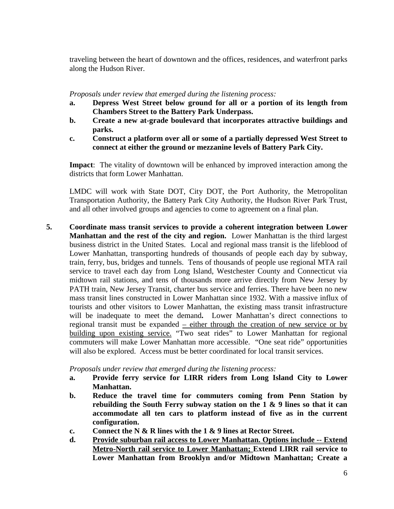traveling between the heart of downtown and the offices, residences, and waterfront parks along the Hudson River.

*Proposals under review that emerged during the listening process:* 

- **a. Depress West Street below ground for all or a portion of its length from Chambers Street to the Battery Park Underpass.**
- **b. Create a new at-grade boulevard that incorporates attractive buildings and parks.**
- **c. Construct a platform over all or some of a partially depressed West Street to connect at either the ground or mezzanine levels of Battery Park City.**

**Impact**: The vitality of downtown will be enhanced by improved interaction among the districts that form Lower Manhattan.

LMDC will work with State DOT, City DOT, the Port Authority, the Metropolitan Transportation Authority, the Battery Park City Authority, the Hudson River Park Trust, and all other involved groups and agencies to come to agreement on a final plan.

**5. Coordinate mass transit services to provide a coherent integration between Lower Manhattan and the rest of the city and region.** Lower Manhattan is the third largest business district in the United States. Local and regional mass transit is the lifeblood of Lower Manhattan, transporting hundreds of thousands of people each day by subway, train, ferry, bus, bridges and tunnels. Tens of thousands of people use regional MTA rail service to travel each day from Long Island, Westchester County and Connecticut via midtown rail stations, and tens of thousands more arrive directly from New Jersey by PATH train, New Jersey Transit, charter bus service and ferries. There have been no new mass transit lines constructed in Lower Manhattan since 1932. With a massive influx of tourists and other visitors to Lower Manhattan, the existing mass transit infrastructure will be inadequate to meet the demand**.** Lower Manhattan's direct connections to regional transit must be expanded  $\overline{ }$  – either through the creation of new service or by building upon existing service. "Two seat rides" to Lower Manhattan for regional commuters will make Lower Manhattan more accessible. "One seat ride" opportunities will also be explored. Access must be better coordinated for local transit services.

*Proposals under review that emerged during the listening process:* 

- **a. Provide ferry service for LIRR riders from Long Island City to Lower Manhattan.**
- **b. Reduce the travel time for commuters coming from Penn Station by rebuilding the South Ferry subway station on the 1 & 9 lines so that it can accommodate all ten cars to platform instead of five as in the current configuration.**
- **c. Connect the N & R lines with the 1 & 9 lines at Rector Street.**
- **d. Provide suburban rail access to Lower Manhattan. Options include -- Extend Metro-North rail service to Lower Manhattan; Extend LIRR rail service to Lower Manhattan from Brooklyn and/or Midtown Manhattan; Create a**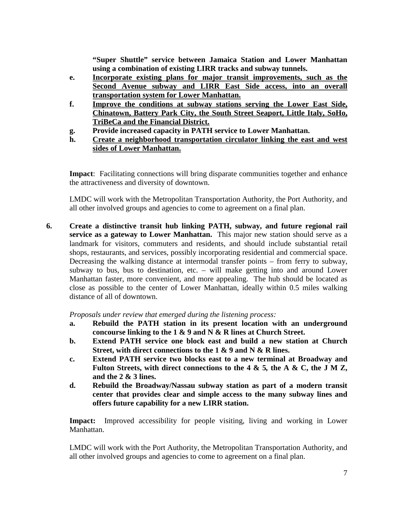**"Super Shuttle" service between Jamaica Station and Lower Manhattan using a combination of existing LIRR tracks and subway tunnels.** 

- **e. Incorporate existing plans for major transit improvements, such as the Second Avenue subway and LIRR East Side access, into an overall transportation system for Lower Manhattan.**
- **f. Improve the conditions at subway stations serving the Lower East Side, Chinatown, Battery Park City, the South Street Seaport, Little Italy, SoHo, TriBeCa and the Financial District.**
- **g. Provide increased capacity in PATH service to Lower Manhattan.**
- **h. Create a neighborhood transportation circulator linking the east and west sides of Lower Manhattan.**

**Impact**: Facilitating connections will bring disparate communities together and enhance the attractiveness and diversity of downtown.

LMDC will work with the Metropolitan Transportation Authority, the Port Authority, and all other involved groups and agencies to come to agreement on a final plan.

**6. Create a distinctive transit hub linking PATH, subway, and future regional rail service as a gateway to Lower Manhattan.** This major new station should serve as a landmark for visitors, commuters and residents, and should include substantial retail shops, restaurants, and services, possibly incorporating residential and commercial space. Decreasing the walking distance at intermodal transfer points – from ferry to subway, subway to bus, bus to destination, etc. – will make getting into and around Lower Manhattan faster, more convenient, and more appealing. The hub should be located as close as possible to the center of Lower Manhattan, ideally within 0.5 miles walking distance of all of downtown.

*Proposals under review that emerged during the listening process:* 

- **a. Rebuild the PATH station in its present location with an underground concourse linking to the 1 & 9 and N & R lines at Church Street.**
- **b. Extend PATH service one block east and build a new station at Church Street, with direct connections to the 1 & 9 and N & R lines.**
- **c. Extend PATH service two blocks east to a new terminal at Broadway and Fulton Streets, with direct connections to the 4 & 5***,* **the A & C, the J M Z, and the 2 & 3 lines.**
- **d. Rebuild the Broadway/Nassau subway station as part of a modern transit center that provides clear and simple access to the many subway lines and offers future capability for a new LIRR station.**

**Impact:** Improved accessibility for people visiting, living and working in Lower Manhattan.

LMDC will work with the Port Authority, the Metropolitan Transportation Authority, and all other involved groups and agencies to come to agreement on a final plan.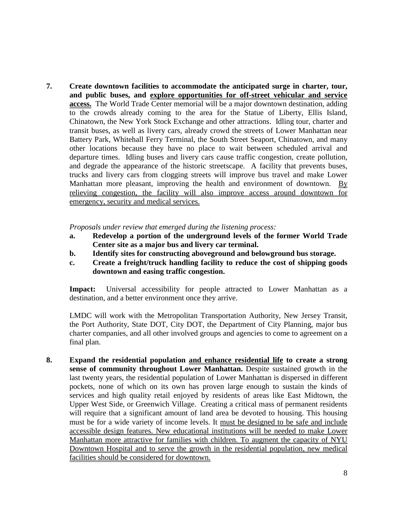**7. Create downtown facilities to accommodate the anticipated surge in charter, tour, and public buses, and explore opportunities for off-street vehicular and service access.** The World Trade Center memorial will be a major downtown destination, adding to the crowds already coming to the area for the Statue of Liberty, Ellis Island, Chinatown, the New York Stock Exchange and other attractions. Idling tour, charter and transit buses, as well as livery cars, already crowd the streets of Lower Manhattan near Battery Park, Whitehall Ferry Terminal, the South Street Seaport, Chinatown, and many other locations because they have no place to wait between scheduled arrival and departure times. Idling buses and livery cars cause traffic congestion, create pollution, and degrade the appearance of the historic streetscape. A facility that prevents buses, trucks and livery cars from clogging streets will improve bus travel and make Lower Manhattan more pleasant, improving the health and environment of downtown. By relieving congestion, the facility will also improve access around downtown for emergency, security and medical services.

*Proposals under review that emerged during the listening process:* 

- **a. Redevelop a portion of the underground levels of the former World Trade Center site as a major bus and livery car terminal.**
- **b. Identify sites for constructing aboveground and belowground bus storage.**
- **c. Create a freight/truck handling facility to reduce the cost of shipping goods downtown and easing traffic congestion.**

Impact: Universal accessibility for people attracted to Lower Manhattan as a destination, and a better environment once they arrive.

LMDC will work with the Metropolitan Transportation Authority, New Jersey Transit, the Port Authority, State DOT, City DOT, the Department of City Planning, major bus charter companies, and all other involved groups and agencies to come to agreement on a final plan.

**8. Expand the residential population and enhance residential life to create a strong sense of community throughout Lower Manhattan.** Despite sustained growth in the last twenty years, the residential population of Lower Manhattan is dispersed in different pockets, none of which on its own has proven large enough to sustain the kinds of services and high quality retail enjoyed by residents of areas like East Midtown, the Upper West Side, or Greenwich Village. Creating a critical mass of permanent residents will require that a significant amount of land area be devoted to housing. This housing must be for a wide variety of income levels. It must be designed to be safe and include accessible design features. New educational institutions will be needed to make Lower Manhattan more attractive for families with children. To augment the capacity of NYU Downtown Hospital and to serve the growth in the residential population, new medical facilities should be considered for downtown.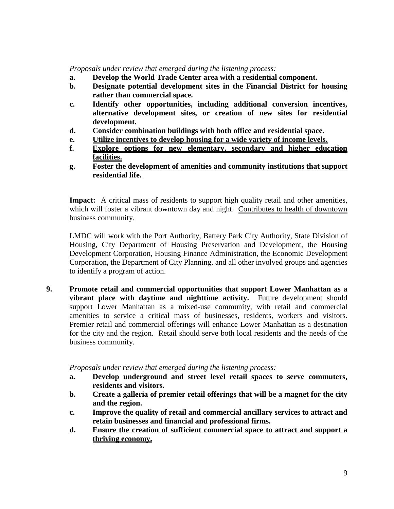*Proposals under review that emerged during the listening process:* 

- **a. Develop the World Trade Center area with a residential component.**
- **b. Designate potential development sites in the Financial District for housing rather than commercial space.**
- **c. Identify other opportunities, including additional conversion incentives, alternative development sites, or creation of new sites for residential development.**
- **d. Consider combination buildings with both office and residential space.**
- **e. Utilize incentives to develop housing for a wide variety of income levels.**
- **f. Explore options for new elementary, secondary and higher education facilities.**
- **g. Foster the development of amenities and community institutions that support residential life.**

**Impact:** A critical mass of residents to support high quality retail and other amenities, which will foster a vibrant downtown day and night. Contributes to health of downtown business community.

LMDC will work with the Port Authority, Battery Park City Authority, State Division of Housing, City Department of Housing Preservation and Development, the Housing Development Corporation, Housing Finance Administration, the Economic Development Corporation, the Department of City Planning, and all other involved groups and agencies to identify a program of action.

**9. Promote retail and commercial opportunities that support Lower Manhattan as a vibrant place with daytime and nighttime activity.** Future development should support Lower Manhattan as a mixed-use community, with retail and commercial amenities to service a critical mass of businesses, residents, workers and visitors. Premier retail and commercial offerings will enhance Lower Manhattan as a destination for the city and the region. Retail should serve both local residents and the needs of the business community.

*Proposals under review that emerged during the listening process:* 

- **a. Develop underground and street level retail spaces to serve commuters, residents and visitors.**
- **b. Create a galleria of premier retail offerings that will be a magnet for the city and the region.**
- **c. Improve the quality of retail and commercial ancillary services to attract and retain businesses and financial and professional firms.**
- **d. Ensure the creation of sufficient commercial space to attract and support a thriving economy.**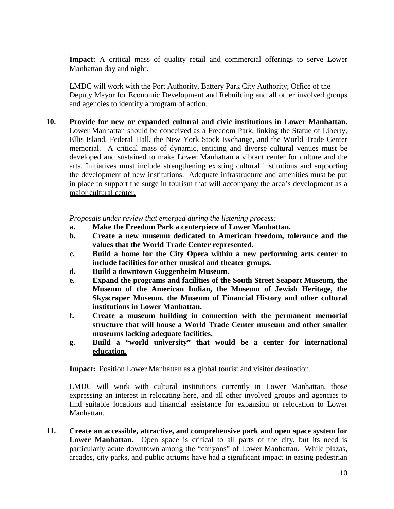**Impact:** A critical mass of quality retail and commercial offerings to serve Lower Manhattan day and night.

LMDC will work with the Port Authority, Battery Park City Authority, Office of the Deputy Mayor for Economic Development and Rebuilding and all other involved groups and agencies to identify a program of action.

**10. Provide for new or expanded cultural and civic institutions in Lower Manhattan.** Lower Manhattan should be conceived as a Freedom Park, linking the Statue of Liberty, Ellis Island, Federal Hall, the New York Stock Exchange, and the World Trade Center memorial. A critical mass of dynamic, enticing and diverse cultural venues must be developed and sustained to make Lower Manhattan a vibrant center for culture and the arts. Initiatives must include strengthening existing cultural institutions and supporting the development of new institutions. Adequate infrastructure and amenities must be put in place to support the surge in tourism that will accompany the area's development as a major cultural center.

*Proposals under review that emerged during the listening process:* 

- **a. Make the Freedom Park a centerpiece of Lower Manhattan.**
- **b. Create a new museum dedicated to American freedom, tolerance and the values that the World Trade Center represented.**
- **c. Build a home for the City Opera within a new performing arts center to include facilities for other musical and theater groups.**
- **d. Build a downtown Guggenheim Museum.**
- **e. Expand the programs and facilities of the South Street Seaport Museum, the Museum of the American Indian, the Museum of Jewish Heritage, the Skyscraper Museum, the Museum of Financial History and other cultural institutions in Lower Manhattan.**
- **f. Create a museum building in connection with the permanent memorial structure that will house a World Trade Center museum and other smaller museums lacking adequate facilities.**
- **g. Build a "world university" that would be a center for international education.**

**Impact:** Position Lower Manhattan as a global tourist and visitor destination.

LMDC will work with cultural institutions currently in Lower Manhattan, those expressing an interest in relocating here, and all other involved groups and agencies to find suitable locations and financial assistance for expansion or relocation to Lower Manhattan.

**11. Create an accessible, attractive, and comprehensive park and open space system for**  Lower Manhattan. Open space is critical to all parts of the city, but its need is particularly acute downtown among the "canyons" of Lower Manhattan. While plazas, arcades, city parks, and public atriums have had a significant impact in easing pedestrian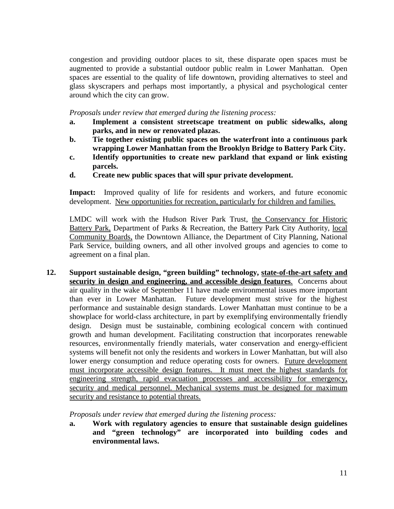congestion and providing outdoor places to sit, these disparate open spaces must be augmented to provide a substantial outdoor public realm in Lower Manhattan. Open spaces are essential to the quality of life downtown, providing alternatives to steel and glass skyscrapers and perhaps most importantly, a physical and psychological center around which the city can grow.

*Proposals under review that emerged during the listening process:* 

- **a. Implement a consistent streetscape treatment on public sidewalks, along parks, and in new or renovated plazas.**
- **b. Tie together existing public spaces on the waterfront into a continuous park wrapping Lower Manhattan from the Brooklyn Bridge to Battery Park City.**
- **c. Identify opportunities to create new parkland that expand or link existing parcels.**
- **d. Create new public spaces that will spur private development.**

**Impact:** Improved quality of life for residents and workers, and future economic development. New opportunities for recreation, particularly for children and families.

LMDC will work with the Hudson River Park Trust, the Conservancy for Historic Battery Park, Department of Parks & Recreation, the Battery Park City Authority, local Community Boards, the Downtown Alliance, the Department of City Planning, National Park Service, building owners, and all other involved groups and agencies to come to agreement on a final plan.

**12. Support sustainable design, "green building" technology, state-of-the-art safety and security in design and engineering, and accessible design features**. Concerns about air quality in the wake of September 11 have made environmental issues more important than ever in Lower Manhattan. Future development must strive for the highest performance and sustainable design standards. Lower Manhattan must continue to be a showplace for world-class architecture, in part by exemplifying environmentally friendly design. Design must be sustainable, combining ecological concern with continued growth and human development. Facilitating construction that incorporates renewable resources, environmentally friendly materials, water conservation and energy-efficient systems will benefit not only the residents and workers in Lower Manhattan, but will also lower energy consumption and reduce operating costs for owners. Future development must incorporate accessible design features. It must meet the highest standards for engineering strength, rapid evacuation processes and accessibility for emergency, security and medical personnel. Mechanical systems must be designed for maximum security and resistance to potential threats.

*Proposals under review that emerged during the listening process:* 

**a. Work with regulatory agencies to ensure that sustainable design guidelines and "green technology" are incorporated into building codes and environmental laws.**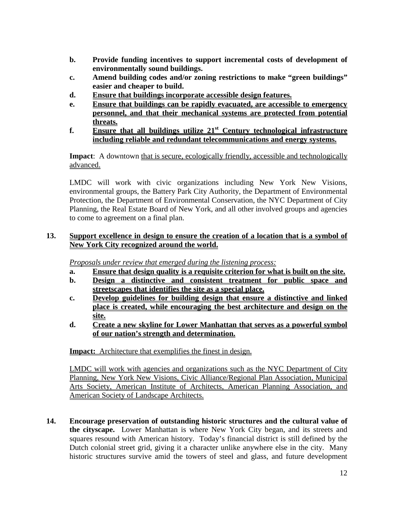- **b. Provide funding incentives to support incremental costs of development of environmentally sound buildings.**
- **c. Amend building codes and/or zoning restrictions to make "green buildings" easier and cheaper to build.**
- **d. Ensure that buildings incorporate accessible design features.**
- **e. Ensure that buildings can be rapidly evacuated, are accessible to emergency personnel, and that their mechanical systems are protected from potential threats.**
- **f. Ensure that all buildings utilize 21st Century technological infrastructure including reliable and redundant telecommunications and energy systems.**

**Impact**: A downtown that is secure, ecologically friendly, accessible and technologically advanced.

LMDC will work with civic organizations including New York New Visions, environmental groups, the Battery Park City Authority, the Department of Environmental Protection, the Department of Environmental Conservation, the NYC Department of City Planning, the Real Estate Board of New York, and all other involved groups and agencies to come to agreement on a final plan.

## **13. Support excellence in design to ensure the creation of a location that is a symbol of New York City recognized around the world.**

*Proposals under review that emerged during the listening process:*

- **a. Ensure that design quality is a requisite criterion for what is built on the site.**
- **b. Design a distinctive and consistent treatment for public space and streetscapes that identifies the site as a special place.**
- **c. Develop guidelines for building design that ensure a distinctive and linked place is created, while encouraging the best architecture and design on the site.**
- **d. Create a new skyline for Lower Manhattan that serves as a powerful symbol of our nation's strength and determination.**

**Impact:** Architecture that exemplifies the finest in design.

LMDC will work with agencies and organizations such as the NYC Department of City Planning, New York New Visions, Civic Alliance/Regional Plan Association, Municipal Arts Society, American Institute of Architects, American Planning Association, and American Society of Landscape Architects.

**14. Encourage preservation of outstanding historic structures and the cultural value of the cityscape.** Lower Manhattan is where New York City began, and its streets and squares resound with American history. Today's financial district is still defined by the Dutch colonial street grid, giving it a character unlike anywhere else in the city. Many historic structures survive amid the towers of steel and glass, and future development